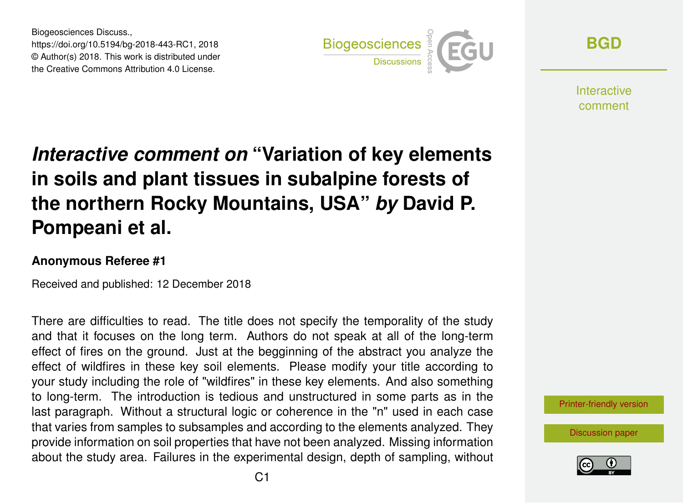Biogeosciences Discuss., https://doi.org/10.5194/bg-2018-443-RC1, 2018 © Author(s) 2018. This work is distributed under the Creative Commons Attribution 4.0 License.



**[BGD](https://www.biogeosciences-discuss.net/)**

**Interactive** comment

## *Interactive comment on* **"Variation of key elements in soils and plant tissues in subalpine forests of the northern Rocky Mountains, USA"** *by* **David P. Pompeani et al.**

## **Anonymous Referee #1**

Received and published: 12 December 2018

There are difficulties to read. The title does not specify the temporality of the study and that it focuses on the long term. Authors do not speak at all of the long-term effect of fires on the ground. Just at the begginning of the abstract you analyze the effect of wildfires in these key soil elements. Please modify your title according to your study including the role of "wildfires" in these key elements. And also something to long-term. The introduction is tedious and unstructured in some parts as in the last paragraph. Without a structural logic or coherence in the "n" used in each case that varies from samples to subsamples and according to the elements analyzed. They provide information on soil properties that have not been analyzed. Missing information about the study area. Failures in the experimental design, depth of sampling, without



[Discussion paper](https://www.biogeosciences-discuss.net/bg-2018-443)

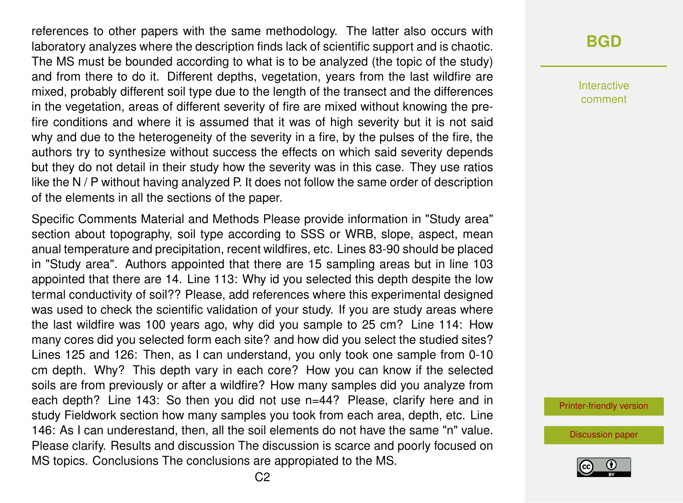references to other papers with the same methodology. The latter also occurs with laboratory analyzes where the description finds lack of scientific support and is chaotic. The MS must be bounded according to what is to be analyzed (the topic of the study) and from there to do it. Different depths, vegetation, years from the last wildfire are mixed, probably different soil type due to the length of the transect and the differences in the vegetation, areas of different severity of fire are mixed without knowing the prefire conditions and where it is assumed that it was of high severity but it is not said why and due to the heterogeneity of the severity in a fire, by the pulses of the fire, the authors try to synthesize without success the effects on which said severity depends but they do not detail in their study how the severity was in this case. They use ratios like the N / P without having analyzed P. It does not follow the same order of description of the elements in all the sections of the paper.

Specific Comments Material and Methods Please provide information in "Study area" section about topography, soil type according to SSS or WRB, slope, aspect, mean anual temperature and precipitation, recent wildfires, etc. Lines 83-90 should be placed in "Study area". Authors appointed that there are 15 sampling areas but in line 103 appointed that there are 14. Line 113: Why id you selected this depth despite the low termal conductivity of soil?? Please, add references where this experimental designed was used to check the scientific validation of your study. If you are study areas where the last wildfire was 100 years ago, why did you sample to 25 cm? Line 114: How many cores did you selected form each site? and how did you select the studied sites? Lines 125 and 126: Then, as I can understand, you only took one sample from 0-10 cm depth. Why? This depth vary in each core? How you can know if the selected soils are from previously or after a wildfire? How many samples did you analyze from each depth? Line 143: So then you did not use n=44? Please, clarify here and in study Fieldwork section how many samples you took from each area, depth, etc. Line 146: As I can underestand, then, all the soil elements do not have the same "n" value. Please clarify. Results and discussion The discussion is scarce and poorly focused on MS topics. Conclusions The conclusions are appropiated to the MS.

## **[BGD](https://www.biogeosciences-discuss.net/)**

Interactive comment

[Printer-friendly version](https://www.biogeosciences-discuss.net/bg-2018-443/bg-2018-443-RC1-print.pdf)

[Discussion paper](https://www.biogeosciences-discuss.net/bg-2018-443)